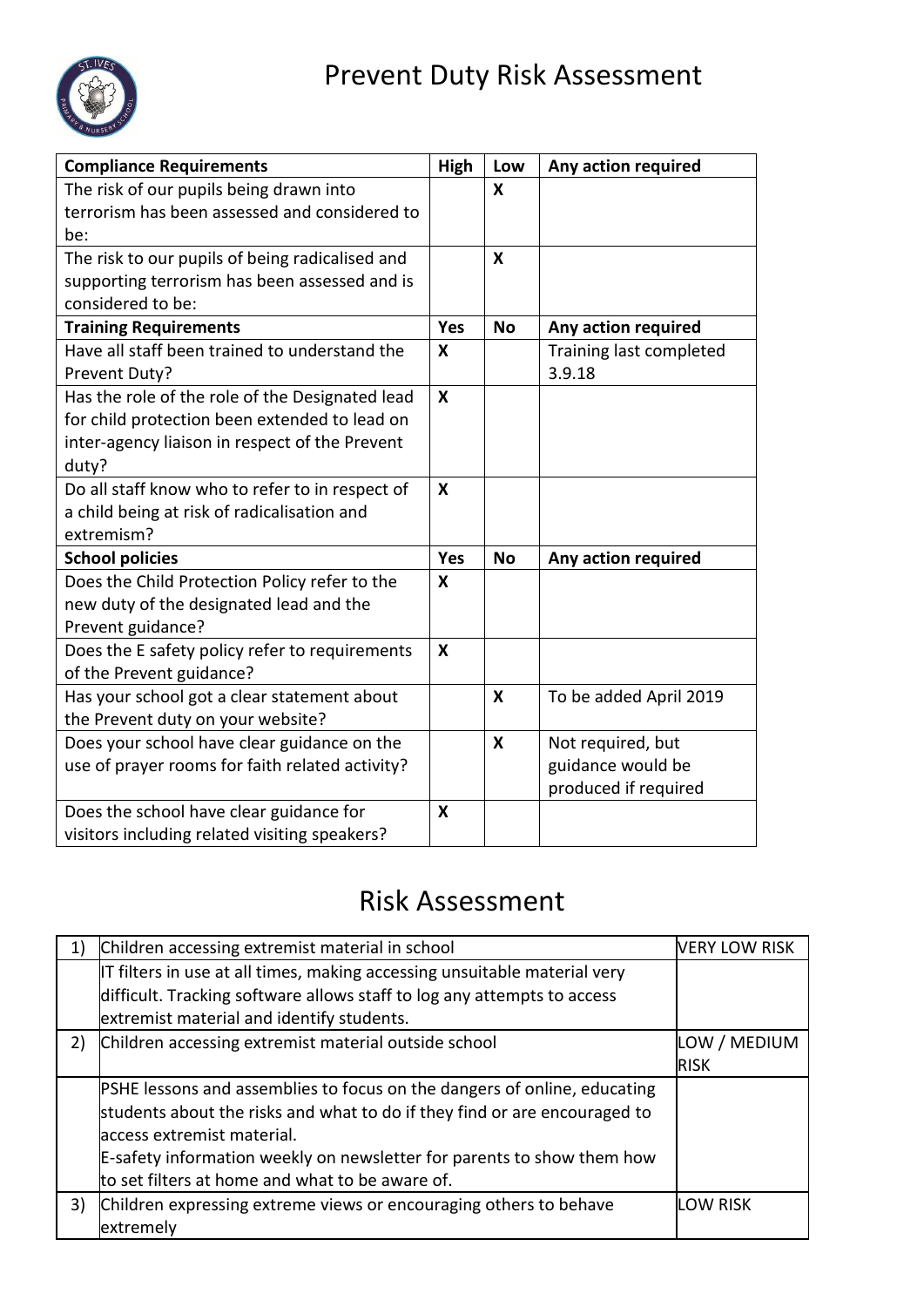

| <b>Compliance Requirements</b>                  | <b>High</b>               | Low       | Any action required     |
|-------------------------------------------------|---------------------------|-----------|-------------------------|
| The risk of our pupils being drawn into         |                           | X         |                         |
| terrorism has been assessed and considered to   |                           |           |                         |
| be:                                             |                           |           |                         |
| The risk to our pupils of being radicalised and |                           | X         |                         |
| supporting terrorism has been assessed and is   |                           |           |                         |
| considered to be:                               |                           |           |                         |
| <b>Training Requirements</b>                    | Yes                       | <b>No</b> | Any action required     |
| Have all staff been trained to understand the   | X                         |           | Training last completed |
| Prevent Duty?                                   |                           |           | 3.9.18                  |
| Has the role of the role of the Designated lead | $\boldsymbol{x}$          |           |                         |
| for child protection been extended to lead on   |                           |           |                         |
| inter-agency liaison in respect of the Prevent  |                           |           |                         |
| duty?                                           |                           |           |                         |
| Do all staff know who to refer to in respect of | X                         |           |                         |
| a child being at risk of radicalisation and     |                           |           |                         |
| extremism?                                      |                           |           |                         |
| <b>School policies</b>                          | Yes                       | <b>No</b> | Any action required     |
| Does the Child Protection Policy refer to the   | X                         |           |                         |
| new duty of the designated lead and the         |                           |           |                         |
| Prevent guidance?                               |                           |           |                         |
| Does the E safety policy refer to requirements  | X                         |           |                         |
| of the Prevent guidance?                        |                           |           |                         |
| Has your school got a clear statement about     |                           | X         | To be added April 2019  |
| the Prevent duty on your website?               |                           |           |                         |
| Does your school have clear guidance on the     |                           | X         | Not required, but       |
| use of prayer rooms for faith related activity? |                           |           | guidance would be       |
|                                                 |                           |           | produced if required    |
| Does the school have clear guidance for         | $\boldsymbol{\mathsf{x}}$ |           |                         |
| visitors including related visiting speakers?   |                           |           |                         |

# Risk Assessment

|    | Children accessing extremist material in school                                 | <b>VERY LOW RISK</b> |
|----|---------------------------------------------------------------------------------|----------------------|
|    | IT filters in use at all times, making accessing unsuitable material very       |                      |
|    | difficult. Tracking software allows staff to log any attempts to access         |                      |
|    | extremist material and identify students.                                       |                      |
| 2) | Children accessing extremist material outside school                            | LOW / MEDIUM         |
|    |                                                                                 | <b>RISK</b>          |
|    | <b>PSHE lessons and assemblies to focus on the dangers of online, educating</b> |                      |
|    | students about the risks and what to do if they find or are encouraged to       |                      |
|    | laccess extremist material.                                                     |                      |
|    | E-safety information weekly on newsletter for parents to show them how          |                      |
|    | to set filters at home and what to be aware of.                                 |                      |
| 3) | Children expressing extreme views or encouraging others to behave               | <b>LOW RISK</b>      |
|    | extremely                                                                       |                      |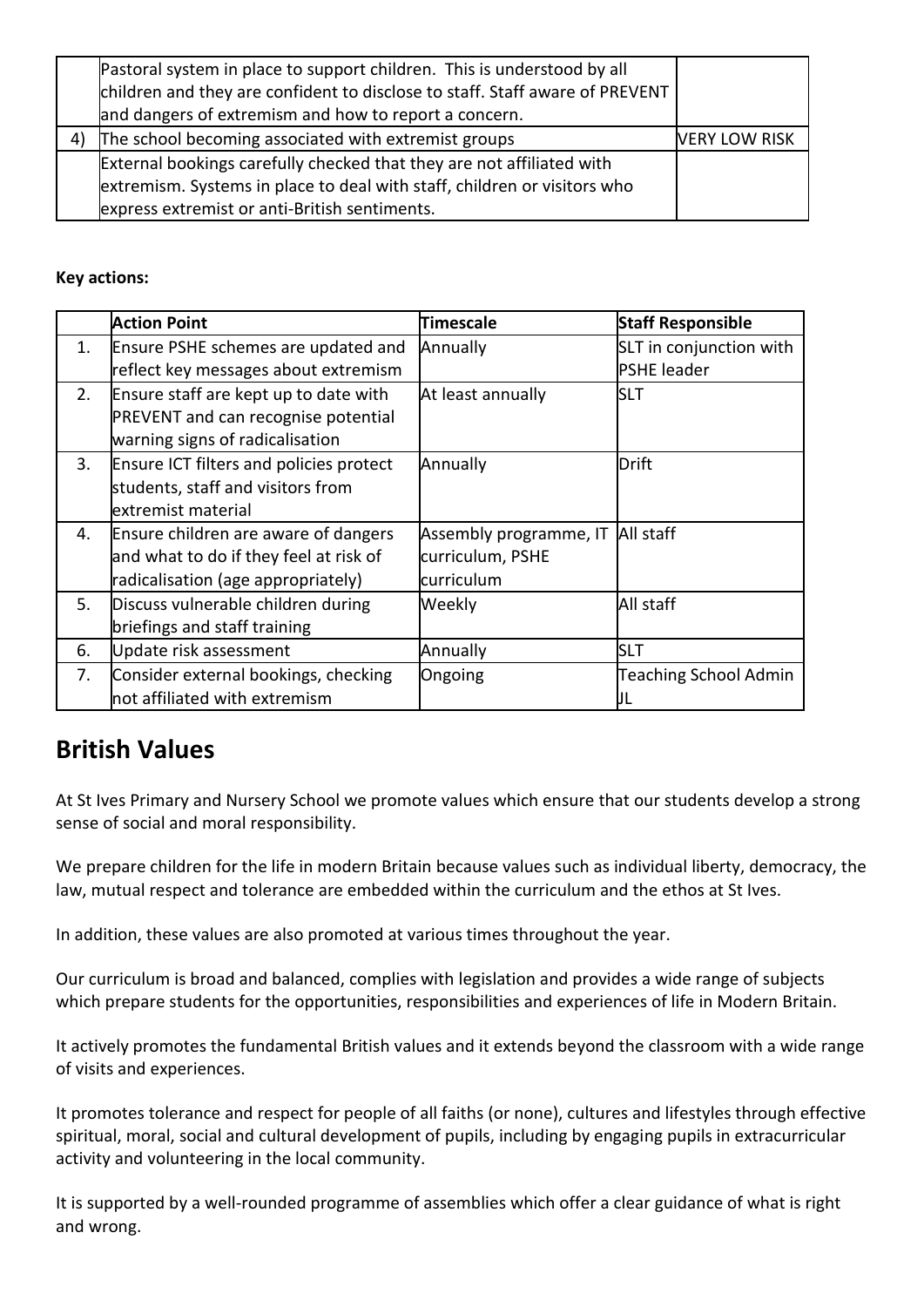|    | Pastoral system in place to support children. This is understood by all<br>children and they are confident to disclose to staff. Staff aware of PREVENT<br>and dangers of extremism and how to report a concern. |  |
|----|------------------------------------------------------------------------------------------------------------------------------------------------------------------------------------------------------------------|--|
| 4) | The school becoming associated with extremist groups<br><b>VERY LOW RISK</b>                                                                                                                                     |  |
|    | External bookings carefully checked that they are not affiliated with                                                                                                                                            |  |
|    | extremism. Systems in place to deal with staff, children or visitors who                                                                                                                                         |  |
|    | express extremist or anti-British sentiments.                                                                                                                                                                    |  |

### **Key actions:**

|    | <b>Action Point</b>                                                                                                    | <b>Timescale</b>                                                   | <b>Staff Responsible</b>                      |
|----|------------------------------------------------------------------------------------------------------------------------|--------------------------------------------------------------------|-----------------------------------------------|
| 1. | Ensure PSHE schemes are updated and<br>reflect key messages about extremism                                            | Annually                                                           | SLT in conjunction with<br><b>PSHE leader</b> |
| 2. | Ensure staff are kept up to date with<br><b>PREVENT</b> and can recognise potential<br>warning signs of radicalisation | At least annually                                                  | <b>SLT</b>                                    |
| 3. | Ensure ICT filters and policies protect<br>students, staff and visitors from<br>extremist material                     | Annually                                                           | Drift                                         |
| 4. | Ensure children are aware of dangers<br>and what to do if they feel at risk of<br>radicalisation (age appropriately)   | Assembly programme, IT All staff<br>curriculum, PSHE<br>curriculum |                                               |
| 5. | Discuss vulnerable children during<br>briefings and staff training                                                     | Weekly                                                             | All staff                                     |
| 6. | Update risk assessment                                                                                                 | Annually                                                           | <b>SLT</b>                                    |
| 7. | Consider external bookings, checking<br>not affiliated with extremism                                                  | Ongoing                                                            | <b>Teaching School Admin</b><br>IJL           |

# **British Values**

At St Ives Primary and Nursery School we promote values which ensure that our students develop a strong sense of social and moral responsibility.

We prepare children for the life in modern Britain because values such as individual liberty, democracy, the law, mutual respect and tolerance are embedded within the curriculum and the ethos at St Ives.

In addition, these values are also promoted at various times throughout the year.

Our curriculum is broad and balanced, complies with legislation and provides a wide range of subjects which prepare students for the opportunities, responsibilities and experiences of life in Modern Britain.

It actively promotes the fundamental British values and it extends beyond the classroom with a wide range of visits and experiences.

It promotes tolerance and respect for people of all faiths (or none), cultures and lifestyles through effective spiritual, moral, social and cultural development of pupils, including by engaging pupils in extracurricular activity and volunteering in the local community.

It is supported by a well-rounded programme of assemblies which offer a clear guidance of what is right and wrong.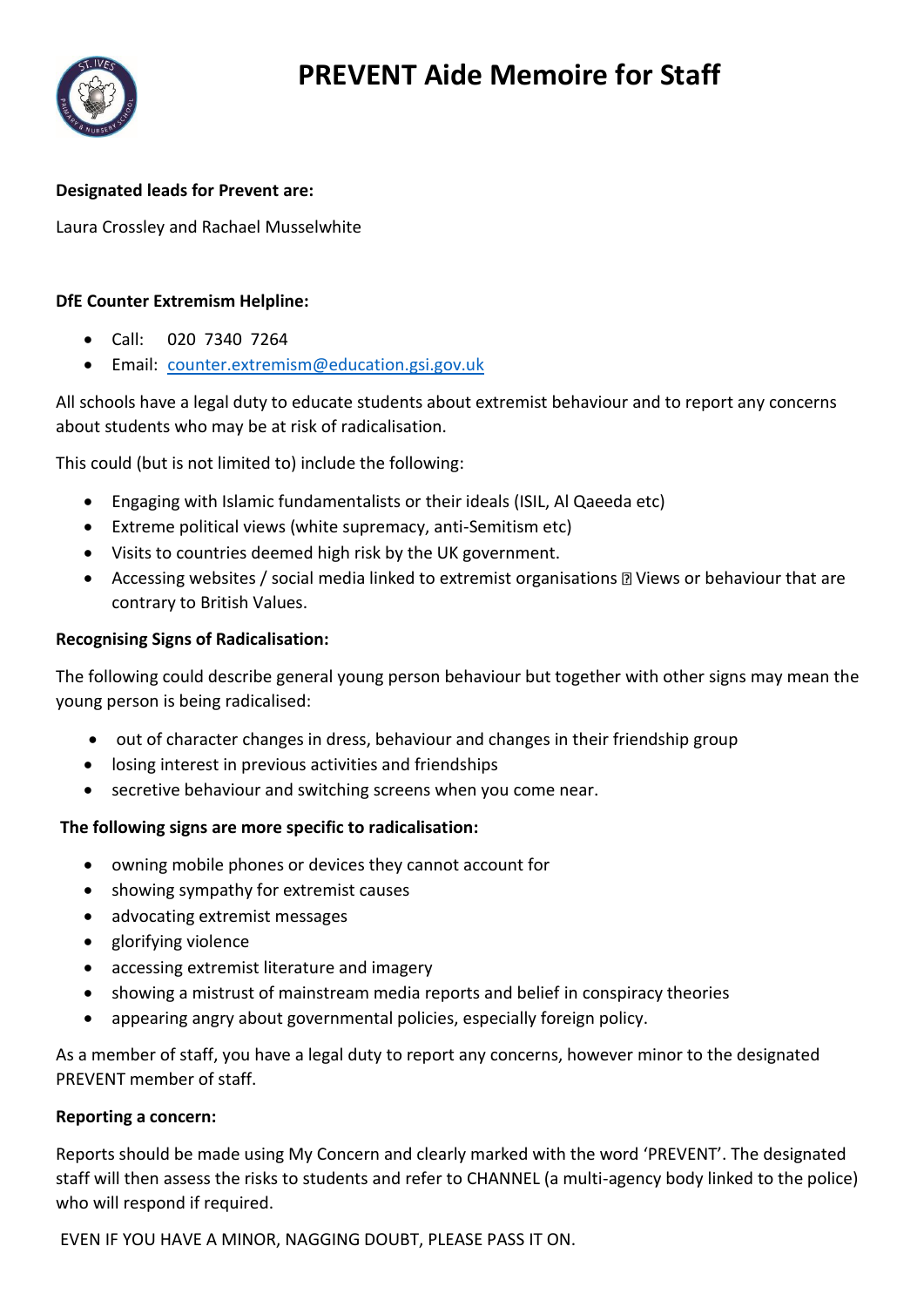

## **Designated leads for Prevent are:**

Laura Crossley and Rachael Musselwhite

### **DfE Counter Extremism Helpline:**

- Call: 020 7340 7264
- Email: [counter.extremism@education.gsi.gov.uk](mailto:counter.extremism@education.gsi.gov.uk)

All schools have a legal duty to educate students about extremist behaviour and to report any concerns about students who may be at risk of radicalisation.

This could (but is not limited to) include the following:

- Engaging with Islamic fundamentalists or their ideals (ISIL, Al Qaeeda etc)
- Extreme political views (white supremacy, anti-Semitism etc)
- Visits to countries deemed high risk by the UK government.
- Accessing websites / social media linked to extremist organisations **III** Views or behaviour that are contrary to British Values.

#### **Recognising Signs of Radicalisation:**

The following could describe general young person behaviour but together with other signs may mean the young person is being radicalised:

- out of character changes in dress, behaviour and changes in their friendship group
- losing interest in previous activities and friendships
- secretive behaviour and switching screens when you come near.

#### **The following signs are more specific to radicalisation:**

- owning mobile phones or devices they cannot account for
- showing sympathy for extremist causes
- advocating extremist messages
- glorifying violence
- accessing extremist literature and imagery
- showing a mistrust of mainstream media reports and belief in conspiracy theories
- appearing angry about governmental policies, especially foreign policy.

As a member of staff, you have a legal duty to report any concerns, however minor to the designated PREVENT member of staff.

#### **Reporting a concern:**

Reports should be made using My Concern and clearly marked with the word 'PREVENT'. The designated staff will then assess the risks to students and refer to CHANNEL (a multi-agency body linked to the police) who will respond if required.

EVEN IF YOU HAVE A MINOR, NAGGING DOUBT, PLEASE PASS IT ON.